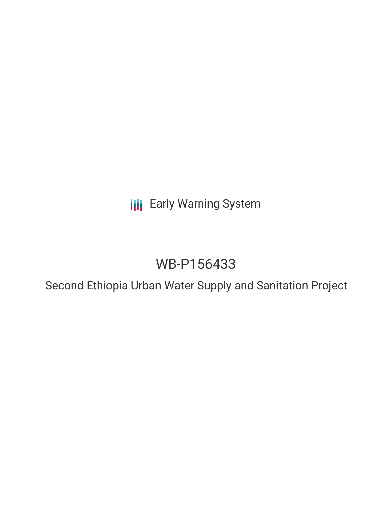**III** Early Warning System

# WB-P156433

Second Ethiopia Urban Water Supply and Sanitation Project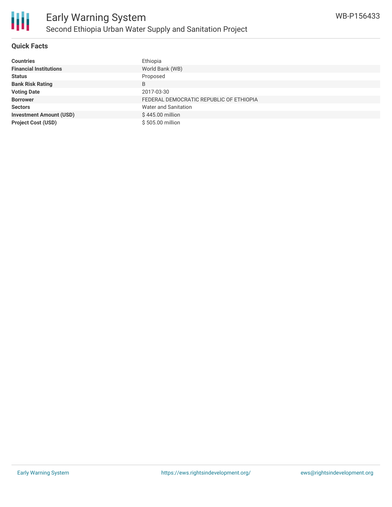

### **Quick Facts**

| <b>Countries</b>               | Ethiopia                                |
|--------------------------------|-----------------------------------------|
| <b>Financial Institutions</b>  | World Bank (WB)                         |
| <b>Status</b>                  | Proposed                                |
| <b>Bank Risk Rating</b>        | B                                       |
| <b>Voting Date</b>             | 2017-03-30                              |
| <b>Borrower</b>                | FEDERAL DEMOCRATIC REPUBLIC OF ETHIOPIA |
| <b>Sectors</b>                 | <b>Water and Sanitation</b>             |
| <b>Investment Amount (USD)</b> | \$445.00 million                        |
| <b>Project Cost (USD)</b>      | \$505.00 million                        |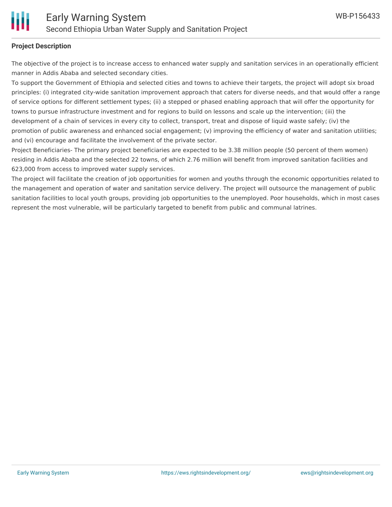#### **Project Description**

The objective of the project is to increase access to enhanced water supply and sanitation services in an operationally efficient manner in Addis Ababa and selected secondary cities.

To support the Government of Ethiopia and selected cities and towns to achieve their targets, the project will adopt six broad principles: (i) integrated city-wide sanitation improvement approach that caters for diverse needs, and that would offer a range of service options for different settlement types; (ii) a stepped or phased enabling approach that will offer the opportunity for towns to pursue infrastructure investment and for regions to build on lessons and scale up the intervention; (iii) the development of a chain of services in every city to collect, transport, treat and dispose of liquid waste safely; (iv) the promotion of public awareness and enhanced social engagement; (v) improving the efficiency of water and sanitation utilities; and (vi) encourage and facilitate the involvement of the private sector.

Project Beneficiaries- The primary project beneficiaries are expected to be 3.38 million people (50 percent of them women) residing in Addis Ababa and the selected 22 towns, of which 2.76 million will benefit from improved sanitation facilities and 623,000 from access to improved water supply services.

The project will facilitate the creation of job opportunities for women and youths through the economic opportunities related to the management and operation of water and sanitation service delivery. The project will outsource the management of public sanitation facilities to local youth groups, providing job opportunities to the unemployed. Poor households, which in most cases represent the most vulnerable, will be particularly targeted to benefit from public and communal latrines.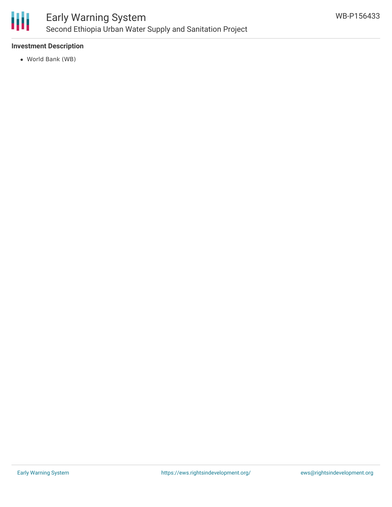

### **Investment Description**

World Bank (WB)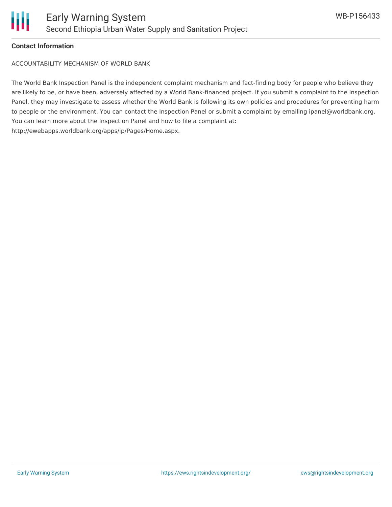

#### **Contact Information**

ACCOUNTABILITY MECHANISM OF WORLD BANK

The World Bank Inspection Panel is the independent complaint mechanism and fact-finding body for people who believe they are likely to be, or have been, adversely affected by a World Bank-financed project. If you submit a complaint to the Inspection Panel, they may investigate to assess whether the World Bank is following its own policies and procedures for preventing harm to people or the environment. You can contact the Inspection Panel or submit a complaint by emailing ipanel@worldbank.org. You can learn more about the Inspection Panel and how to file a complaint at: http://ewebapps.worldbank.org/apps/ip/Pages/Home.aspx.